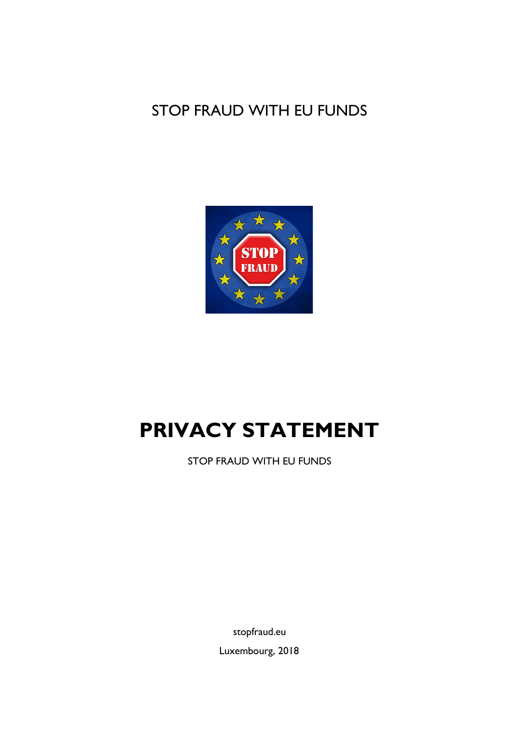## STOP FRAUD WITH EU FUNDS



# **PRIVACY STATEMENT**

STOP FRAUD WITH EU FUNDS

stopfraud.eu

Luxembourg, 2018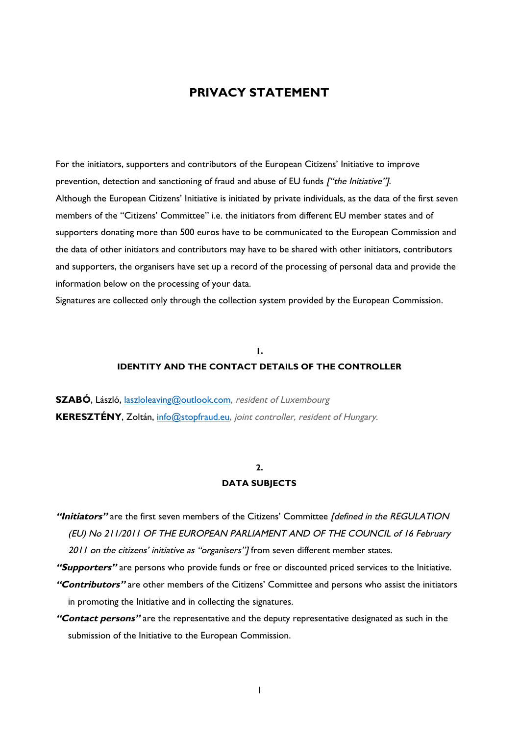## **PRIVACY STATEMENT**

For the initiators, supporters and contributors of the European Citizens' Initiative to improve prevention, detection and sanctioning of fraud and abuse of EU funds ["the Initiative"]. Although the European Citizens' Initiative is initiated by private individuals, as the data of the first seven members of the "Citizens' Committee" i.e. the initiators from different EU member states and of supporters donating more than 500 euros have to be communicated to the European Commission and the data of other initiators and contributors may have to be shared with other initiators, contributors and supporters, the organisers have set up a record of the processing of personal data and provide the information below on the processing of your data.

Signatures are collected only through the collection system provided by the European Commission.

## **1. IDENTITY AND THE CONTACT DETAILS OF THE CONTROLLER**

**SZABÓ**, László, [laszloleaving@outlook.com](mailto:laszloleaving@outlook.com), resident of Luxembourg **KERESZTÉNY**, Zoltán, [info@stopfraud.eu](mailto:info@stopfraud.eu), joint controller, resident of Hungary.

#### **2.**

#### **DATA SUBJECTS**

- "Initiators" are the first seven members of the Citizens' Committee [defined in the REGULATION (EU) No 211/2011 OF THE EUROPEAN PARLIAMENT AND OF THE COUNCIL of 16 February 2011 on the citizens' initiative as "organisers"] from seven different member states.
- **"Supporters"**are persons who provide funds or free or discounted priced services to the Initiative.
- **"Contributors"**are other members of the Citizens' Committee and persons who assist the initiators in promoting the Initiative and in collecting the signatures.
- **"Contact persons"**are the representative and the deputy representative designated as such in the submission of the Initiative to the European Commission.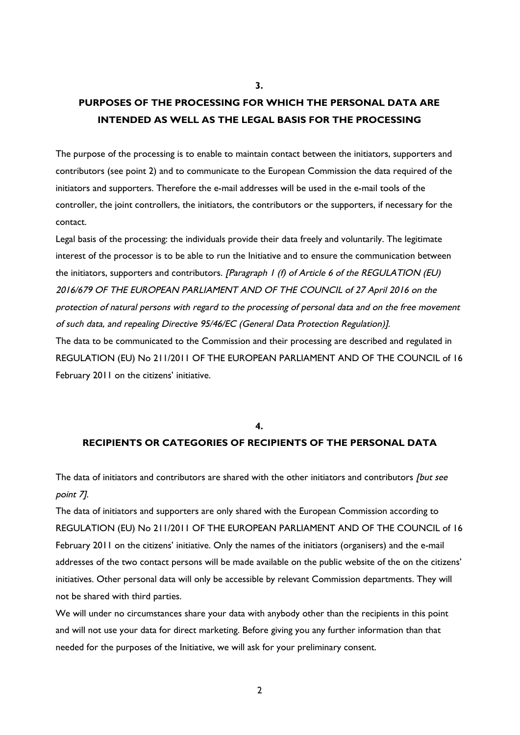## **PURPOSES OF THE PROCESSING FOR WHICH THE PERSONAL DATA ARE INTENDED AS WELL AS THE LEGAL BASIS FOR THE PROCESSING**

**3.**

The purpose of the processing is to enable to maintain contact between the initiators, supporters and contributors (see point 2) and to communicate to the European Commission the data required of the initiators and supporters. Therefore the e-mail addresses will be used in the e-mail tools of the controller, the joint controllers, the initiators, the contributors or the supporters, if necessary for the contact.

Legal basis of the processing: the individuals provide their data freely and voluntarily. The legitimate interest of the processor is to be able to run the Initiative and to ensure the communication between the initiators, supporters and contributors. [Paragraph 1 (f) of Article 6 of the REGULATION (EU) 2016/679 OF THE EUROPEAN PARLIAMENT AND OF THE COUNCIL of 27 April 2016 on the protection of natural persons with regard to the processing of personal data and on the free movement of such data, and repealing Directive 95/46/EC (General Data Protection Regulation)]. The data to be communicated to the Commission and their processing are described and regulated in REGULATION (EU) No 211/2011 OF THE EUROPEAN PARLIAMENT AND OF THE COUNCIL of 16 February 2011 on the citizens' initiative.

#### **4.**

## **RECIPIENTS OR CATEGORIES OF RECIPIENTS OF THE PERSONAL DATA**

The data of initiators and contributors are shared with the other initiators and contributors *[but see* point 7].

The data of initiators and supporters are only shared with the European Commission according to REGULATION (EU) No 211/2011 OF THE EUROPEAN PARLIAMENT AND OF THE COUNCIL of 16 February 2011 on the citizens' initiative. Only the names of the initiators (organisers) and the e-mail addresses of the two contact persons will be made available on the public website of the on the citizens' initiatives. Other personal data will only be accessible by relevant Commission departments. They will not be shared with third parties.

We will under no circumstances share your data with anybody other than the recipients in this point and will not use your data for direct marketing. Before giving you any further information than that needed for the purposes of the Initiative, we will ask for your preliminary consent.

2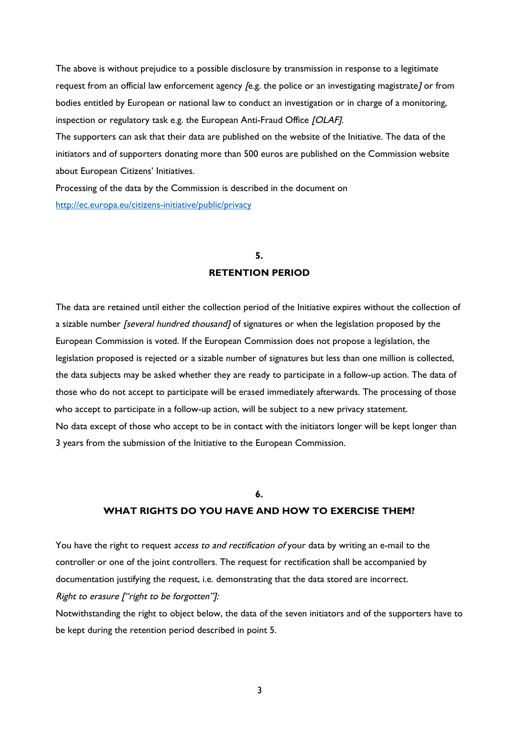The above is without prejudice to a possible disclosure by transmission in response to a legitimate request from an official law enforcement agency *[e.g. the police or an investigating magistrate]* or from bodies entitled by European or national law to conduct an investigation or in charge of a monitoring, inspection or regulatory task e.g. the European Anti-Fraud Office [OLAF].

The supporters can ask that their data are published on the website of the Initiative. The data of the initiators and of supporters donating more than 500 euros are published on the Commission website about European Citizens' Initiatives.

Processing of the data by the Commission is described in the document on <http://ec.europa.eu/citizens-initiative/public/privacy>

## **5. RETENTION PERIOD**

The data are retained until either the collection period of the Initiative expires without the collection of a sizable number *[several hundred thousand]* of signatures or when the legislation proposed by the European Commission is voted. If the European Commission does not propose a legislation, the legislation proposed is rejected or a sizable number of signatures but less than one million is collected, the data subjects may be asked whether they are ready to participate in a follow-up action. The data of those who do not accept to participate will be erased immediately afterwards. The processing of those who accept to participate in a follow-up action, will be subject to a new privacy statement. No data except of those who accept to be in contact with the initiators longer will be kept longer than 3 years from the submission of the Initiative to the European Commission.

#### **6.**

### **WHAT RIGHTS DO YOU HAVE AND HOW TO EXERCISE THEM?**

You have the right to request access to and rectification of your data by writing an e-mail to the controller or one of the joint controllers. The request for rectification shall be accompanied by documentation justifying the request, i.e. demonstrating that the data stored are incorrect. Right to erasure ["right to be forgotten"]:

Notwithstanding the right to object below, the data of the seven initiators and of the supporters have to be kept during the retention period described in point 5.